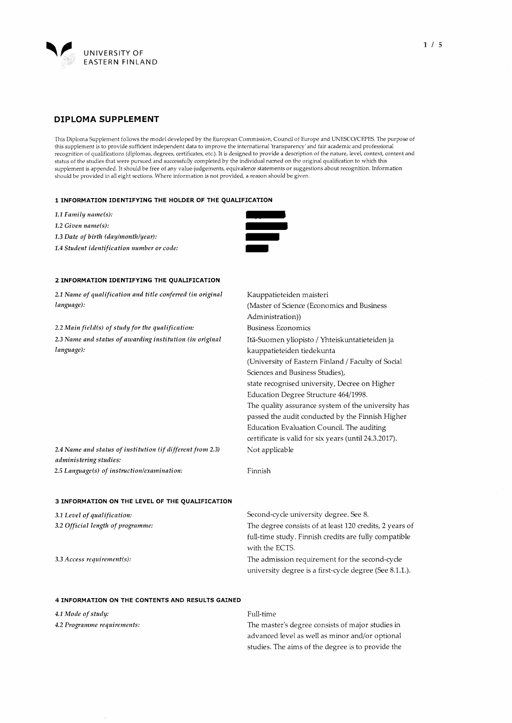

This Diploma Supplement follows the model developed by the European Commission, Council of Europe and UNESCO/CEPES. The purpose of this supplement is to provide sufficient independent data to improve the international 'transparency ' and fair academic and professional recognition of qualifications (dipiomas, degrees, certificates, etc.). It is designed to provide a description of the nature, level, context, content and status of the studies that were pursued and successfully completed by the individual named on the original qualification to which this supplement is appended . It should be free of any value -judgements, equivalence statements or suggestions about recognition . Information should be provided in all eight sections. Where information is not provided, a reason should be given.

### 1 INFORMATION IDENTIFYING THE HOLDER OF THE QUALIFICATION

- 1.1 Family name(s):
- 1.2 Given name(s):
- 1.3 Date of birth (day/month/year):

1.4 Student identification number or code:



Business Economics

kauppa tieteiden tiedekunta

## 2 INFORMATION IDENTIFYING THE QUALIFICATION

2.1 Name of qualification and title conferred (in original language): Kauppatieteiden maisteri (Master of Science (Economics and Business Administration))

 $2.2$  Main field(s) of study for the qualification: 2.3 Name and status of awarding institution (in original language):

> (University of Eastern Finland / Faculty of Social Sciences and Business Studies), state recognised university, Decree on Higher Education Degree Structure 464/1998. The quality assurance system of the university has passed the audit conducted by the Finnish Higher Education Evaluation Council. The auditing certificate is valid for six years (until 24.3.2017). Not applicable

Itä-Suomen yliopisto / Yhteiskuntatieteiden ja

2.4 Name and status of institution (if different from 2.3) administering studies: 2.5 Language (s) of instructionlexamination:

# 3 INFORMATION ON THE LEVEL OF THE QUALIFICATION

| 3.1 Level of qualification:       | Second-cycle university degree. See 8.                  |
|-----------------------------------|---------------------------------------------------------|
| 3.2 Official length of programme: | The degree consists of at least 120 credits, 2 years of |
|                                   | full-time study. Finnish credits are fully compatible   |
|                                   | with the ECTS.                                          |
| 3.3 Access requirement(s):        | The admission requirement for the second-cycle          |
|                                   | university degree is a first-cycle degree (See 8.1.1.). |
|                                   |                                                         |

### 4 INFORMATION ON THE CONTENTS AND RESULTS GAINED

4.1 Mode of study:

4.2 Programme requirements:

## Full-time

Finnish

The master's degree consists of major studies in advanced level as well as minor and/or optional studies. The aims of the degree is to provide the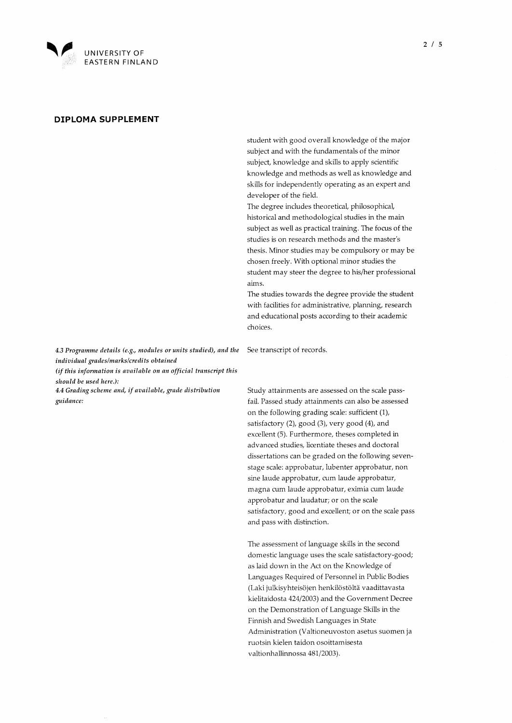

student with good overall knowledge of the major subject and with the fundamentals of the minor subject, knowledge and skills to apply scientific knowledge and methods as well as knowledge and skills for independently operating as an expert and developer of the field.

The degree includes theoretical, philosophical, historical and methodological studies in the main subject as well as practical training. The focus of the studies is on research methods and the master's thesis. Minor studies may be compulsory or may be chosen freely. With optional minor studies the student may steer the degree to his/her professional aims.

The studies towards the degree provide the student with facilities for administrative, planning, research and educational posts according to their academic choices.

4.3 Programme details (e.g., modules or units studied), and the individual grades/marks/credits obtained

(if this information is available on an official transcript this should be used here.):

4.4 Grading scheme and, if available, grade distribution guidance:

See transcript of records.

Study attainments are assessed on the scale passfail. Passed study attainments can also be assessed on the following grading scale: sufficient (1), satisfactory (2), good (3), very good (4), and excellent (5). Furthermore, theses completed in advanced studies, licentiate theses and doctoral dissertations can be graded on the following sevenstage scale: approbatur, lubenter approbatur, non sine laude approbatur, cum laude approbatur, magna cum laude approbatur, eximia cum laude approbatur and laudatur; or on the scale satisfactory, good and excellent; or on the scale pass and pass with distinction.

The assessment of language skills in the second domestic language uses the scale satisfactory-good; as laid down in the Act on the Knowledge of Languages Required of Personnel in Public Bodies (Laki julkisyhteisöjen henkilöstöltä vaadittavasta kielitaidosta 424/2003) and the Government Decree on the Demonstration of Language Skills in the Finnish and Swedish Languages in State Administration (Valtioneuvoston asetus suomen ja ruotsin kielen taidon osoittamisesta valtionhallinnossa 481/2003).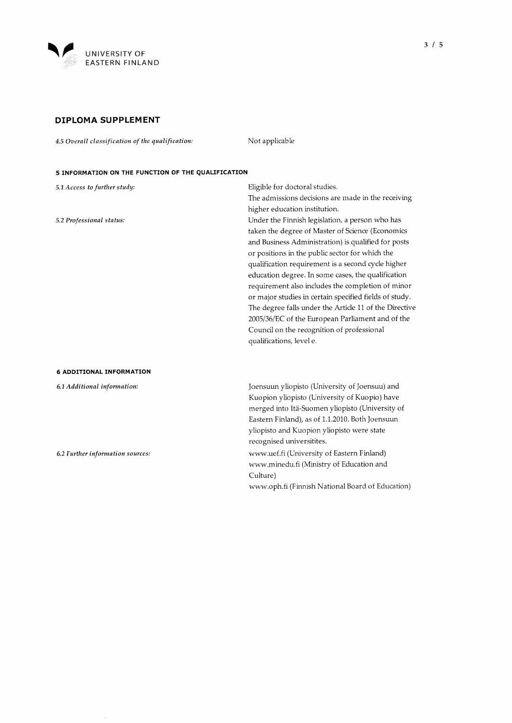

4.5 Overall classification of the qualification: Not applicable

## 5 INFORMATION ON THE FUNCTION OF THE QUALIFICATION

5.1 Access to further study: 5.2 Professional status: 6 ADDITIONAL INFORMATION 6.1 Additional information: 6.2 Further information sources: Eligible for doctoral Studies. The admissions decisions are made in the receiving higher education institution. Under the Finnish legislation, a person who has taken the degree of Master of Science (Economics and Business Administration) is qualified for posts or positions in the public sector for which the qualification requirement is a second cycle higher education degree. In some cases, the qualification requirement also includes the completion of minor or major studies in certain specified fields of study. The degree falls under the Article 11 of the Directive 2005/36/EC of the European Parliament and of the Council on the recognition of professional qualifications, level e. Joensuun yliopisto (University of Joensuu) and Kuopion yliopisto (University of Kuopio) have merged into Itä-Suomen yliopisto (University of Eastern Finland), as of 1.1.2010. Both Joensuun yliopisto and Kuopion yliopisto were state recognised universitites. www.uef.fi (University of Eastern Finland) www.minedu.fi (Ministry of Education and Culture) www.oph.fi (Finnish National Board of Education)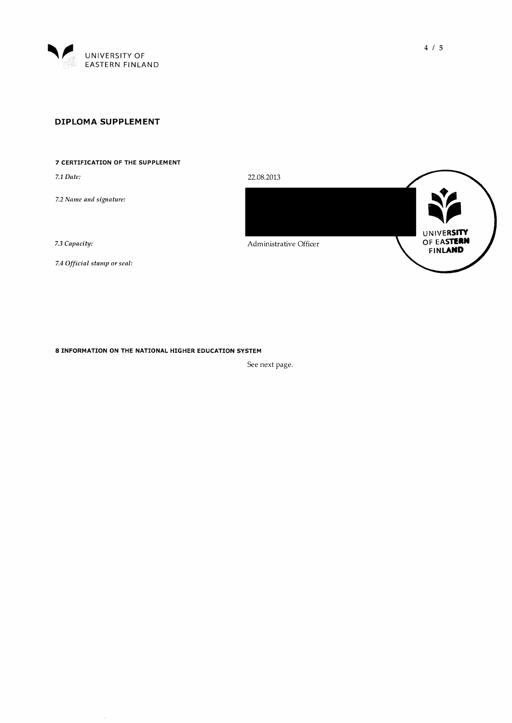

## 7 CERTIFICATION OF THE SUPPLEMENT

7.1 Date:

7.2 Name and signature:

7.3 Capacity:

7.4 Official stamp or seal:

8 INFORMATION ON THE NATIONAL HIGHER EDUCATION SYSTEM

See next page.

22.08.2013 UNIVERSITY OF EASTERN<br>FINLAND Administrative Officer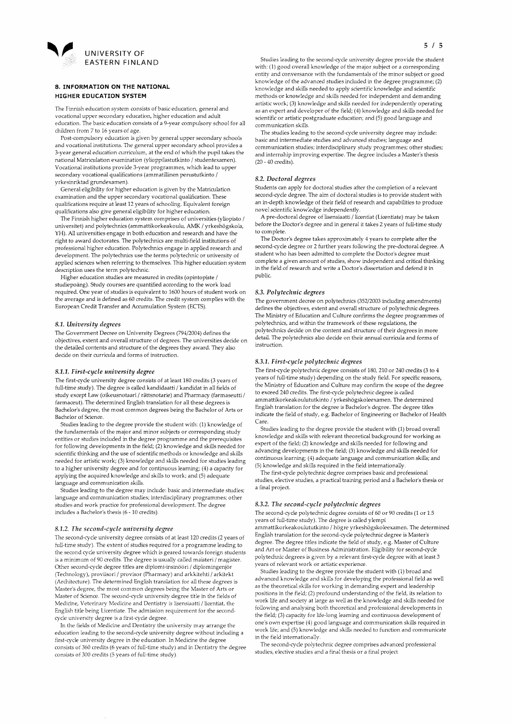

### 8. INFORMATION ON THE NATIONAL HIGHER EDUCATION SYSTEM

The Finnish education system consists of basic education, general and vocational upper secondary education, higher education and adult education. The basic education consists of a 9-year compulsory school for all children from 7 to 16 years of age.

Post-compulsory education is given by general upper secondary schools and vocational institutions. The general upper secondary school provides a 3-year general education curriculum, at the end of which the pupil takes the national Matriculation examination (ylioppilastutkinto / studentexamen). Vocational institutions provide 3-year programmes, which lead to upper secondary vocational qualifications (ammatillinen perustutkinto / yrkesinriktad grundexamen).

General eligibility for higher education is given by the Matriculation examination and the upper secondary vocational qualification. These qualifications require at least 12 years of schooling. Equivalent foreign qualifications also give general eligibility for higher education.

The Finnish higher education system comprises of universities (yliopisto / universitet) and polytechnics (ammattikorkeakoulu, AMK / yrkeshögskola, YH). All universities engage in both education and research and have the right to award doctorates. The polytechnics are multi-field institutions of professional higher education. Polytechnics engage in applied research and development. The polytechnics use the terms polytechnic or university of applied sciences when referring to themselves. This higher education system description uses the term polytechnic.

Higher education studies are measured in credits (opintopiste / studiepoäng). Study courses are quantified according to the work load required. One year of studies is equivalent to 1600 hours of student work on the average and is defined as 60 credits. The credit system complies with the European Credit Transfer and Accumulation System (ECTS).

#### 8.1. University degrees

The Government Decree on University Degrees (794/2004) defines the objectives, extent and overall structure of degrees. The universities decide on the detailed contents and structure of the degrees they award. They also decide on their curricula and forms of instruction.

#### 8.1.1. First-cycle university degree

The first-cycle university degree consists of at least 180 credits (3 years of full-time study). The degree is called kandidaatti / kandidat in all fields of study except Law (oikeusnotaari / rättsnotarie) and Pharmacy (farmaseutti / farmaceut). The determined English translation for all these degrees is Bachelor's degree, the most common degrees being the Bachelor of Arts or Bachelor of Science.

Studies leading to the degree provide the student with: (1) knowledge of the fundamentals of the major and minor subjects or corresponding study entities or studies included in the degree programme and the prerequisites for following developments in the field; (2) knowledge and skills needed for scientific thinking and the use of scientific methods or knowledge and skills needed for artistic work; (3) knowledge and skills needed for Studies leading to a higher university degree and for continuous learning; (4) a capacity for applying the acquired knowledge and skills to work; and (5) adequate language and communication skills.

Studies leading to the degree may include: basic and intermediate studies; language and communication studies; interdisciplinary programmes; other studies and work practice for professional development. The degree includes a Bachelor's thesis (6 - 10 credits).

## 8.1.2. The second-eycle university degree

The second-cycle university degree consists of at least 120 credits (2 years of full-time study). The extent of studies required for a programme leading to the second cycle university degree which is geared towards foreign students is a minimum of 90 credits. The degree is usually called maisteri / magister. Other second-cycle degree titles are diplomi-insinööri / diplomingenjör (Technology), proviisori / provisor (Pharmacy) and arkkitehti / arkitekt (Architecture). The determined English translation for all these degrees is Ma ster's degree, the most common degrees being the Master of Arts or Master of Science. The second-cycle university degree title in the fields of Medicine, Veterinary Medicine and Dentistry is lisensiaatti / licentiat, the English title being Licentiate. The admission requirement for the secondcycie university degree is a first-cycle degree.

In the fields of Medicine and Dentistry the university may arrange the education leading to the second-cycle university degree without including a first-cycle university degree in the education. In Medicine the degree consists of 360 credits (6 years of full-time study) and in Dentistry the degree consists of 300 credits (5 years of full-time study).

Studies leading to the second-cycle university degree provide the student with: (1) good overall knowledge of the major subject or a corresponding entity and conversance with the fundamentals of the minor subject or good knowledge of the advanced studies included in the degree programme; (2) knowiedge and skills needed to apply Scientific knowledge and Scientific methods or knowledge and skills needed for independent and demanding artistic work; (3) knowledge and skills needed for independently operating as an expert and developer of the field; (4) knowledge and skills needed for scientific or artistic postgraduate education; and (5) good language and communication skills.

The studies leading to the second-cycle university degree may include: basic and intermediate studies and advanced studies; language and communication studies; interdisciplinary study programmes; other studies; and internship improving expertise. The degree includes a Master's thesis (20 - 40 credits).

#### 8.2. Doctoral degrees

Students can apply for doctoral Studies after the completion of a relevant second-cycle degree. The aim of doctoral studies is to provide student with an in-depth knowledge of their field of research and capabilities to produce novel scientific knowledge independently.

A pre-doctoral degree of lisensiaatti / licentiat (Licentiate) may be taken before the Doctor's degree and in general it takes 2 years of full-time study to complete.

The Doctor's degree takes approximately 4 years to complete after the second-cycle degree or 2 further years following the pre-doctoral degree. A student who has been admitted to complete the Doctor's degree must complete a given amount of studies, show independent and critical thinking in the field of research and write a Doctor's disserta tion and defend it in public.

### 8.3. Polytechnic degrees

The government decree on polytechnics (352/2003 including amendments) defines the objectives, extent and overall structure of polytechnic degrees. The Ministry of Education and Culture confirms the degree programmes of polytechnics, and within the framework of these regulations, the polytechnics decide on the content and structure of their degrees in more detail. The polytechnics also decide on their annual curricula and forms of instruction.

#### 8.3.1. First-cycle polytechnic degrees

The first-cycle polytechnic degree consists of 180, 210 or 240 credits (3 to 4 years of full-time study) depending on the study field. For specific reasons, the Ministry of Education and Culture may confirm the scope of the degree to exceed 240 credits. The first-cycle polytechnic degree is called ammattik orkea k ou lutu tkinto / yrk eshögsk ole examen. The determined English translation for the degree is Bachelor's degree. The degree titles indicate the field of study, e.g. Bachelor of Engineering or Bachelor of Health Care.

Studies leading to the degree provide the student with (1) broad overall knowledge and skills with relevant theoretical background for working as expert of the field; (2) knowledge and skills needed for following and advancing developments in the field; (3) knowledge and skills needed for continuous learning; (4) adequate language and communication skills; and (5) knowledge and skills required in the field internationally.

The first-cycle polytechnic degree comprises basic and professional studies, elective studies, a practical training period and a Bachelor's thesis or a final project.

#### 8.3.2. The second-cycle polytechnic degrees

The second-cycle polytechnic degree consists of 60 or 90 credits (1 or 1.5 years of full-time study). The degree is called ylempi ammattik orkeak ou lututkinto / högre yrk eshögskoleexamen. The determined English translation for the second-cycle polytechnic degree is Master's degree. The degree titles indicate the field of study, e.g. Master of Culture and Art or Master of Business Administration. Eligibility for second-cycle polytechnic degrees is given by a relevant first-cycle degree with at least 3 years of relevant work or artistic experience.

Studies leading to the degree provide the student with (1) broad and advanced knowledge and skills for developing the professional field as well as the theoretical skills for working in demanding expert and leadership positions in the field; (2) profound understanding of the field, its relation to work life and Society at large as well as the knowledge and skills needed for following and analysing both theoretical and professional developments in the field; (3) capacity for life-long learning and continuous development of one's own expertise (4) good language and communication skills required in work life; and (5) knowledge and skills needed to function and communicate in the field internationally.

The second-cycle polytechnic degree comprises advanced professional studies, elective studies and a final thesis or a final project.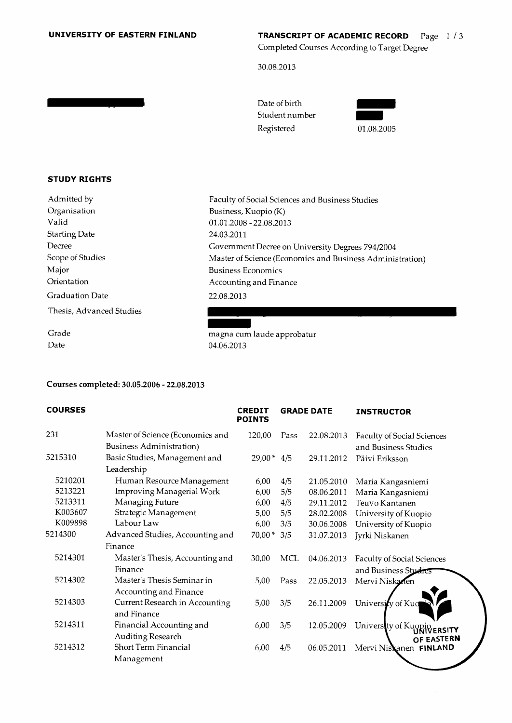## UNIVERSITY OF EASTERN FINLAND

# **TRANSCRIPT OF ACADEMIC RECORD** Page  $1/3$ Completed Courses According to Target Degree

30.08.2013

| Date of birth  |
|----------------|
| Student number |
| Registered     |

| 01.08.2005 |
|------------|

# STUDY RIGHTS

Admitted by Organisation Valid Starting Date Decree Scope of Studies Major Orientation Graduation Date Thesis, Advanced Studies

Grade Date

Faculty of Social Sciences and Business Studies Business, Kuopio (K) 01.01.2008 - 22.08.2013 24.03.2011 Government Decree on University Degrees 794/2004 Master of Science (Economics and Business Administration) Business Economics Accounting and Finance 22.08.2013

magna cum laude approbatur 04.06.2013

# Courses completed: 30.05.2006 - 22.08.2013

| <b>COURSES</b> |                                                              | <b>CREDIT</b><br><b>POINTS</b> | <b>GRADE DATE</b> |            | <b>INSTRUCTOR</b>                                         |
|----------------|--------------------------------------------------------------|--------------------------------|-------------------|------------|-----------------------------------------------------------|
| 231            | Master of Science (Economics and<br>Business Administration) | 120,00                         | Pass              | 22.08.2013 | Faculty of Social Sciences<br>and Business Studies        |
| 5215310        | Basic Studies, Management and<br>Leadership                  | $29,00*$                       | 4/5               | 29.11.2012 | Päivi Eriksson                                            |
| 5210201        | Human Resource Management                                    | 6,00                           | 4/5               | 21.05.2010 | Maria Kangasniemi                                         |
| 5213221        | Improving Managerial Work                                    | 6,00                           | 5/5               | 08.06.2011 | Maria Kangasniemi                                         |
| 5213311        | Managing Future                                              | 6,00                           | 4/5               | 29.11.2012 | Teuvo Kantanen                                            |
| K003607        | Strategic Management                                         | 5,00                           | 5/5               | 28.02.2008 | University of Kuopio                                      |
| K009898        | Labour Law                                                   | 6,00                           | 3/5               | 30.06.2008 | University of Kuopio                                      |
| 5214300        | Advanced Studies, Accounting and                             | $70,00*$                       | 3/5               | 31.07.2013 | Jyrki Niskanen                                            |
|                | Finance                                                      |                                |                   |            |                                                           |
| 5214301        | Master's Thesis, Accounting and<br>Finance                   | 30,00                          | MCL               | 04.06.2013 | <b>Faculty of Social Sciences</b><br>and Business Studies |
| 5214302        | Master's Thesis Seminar in<br>Accounting and Finance         | 5,00                           | Pass              | 22.05.2013 | Mervi Niskanen                                            |
| 5214303        | Current Research in Accounting<br>and Finance                | 5,00                           | 3/5               | 26.11.2009 | University of Kuo                                         |
| 5214311        | Financial Accounting and<br>Auditing Research                | 6,00                           | 3/5               | 12.05.2009 | University of Kuopio<br>OF EASTERN                        |
| 5214312        | <b>Short Term Financial</b>                                  | 6,00                           | 4/5               | 06.05.2011 | Mervi Niskanen FINLAND                                    |
|                | Management                                                   |                                |                   |            |                                                           |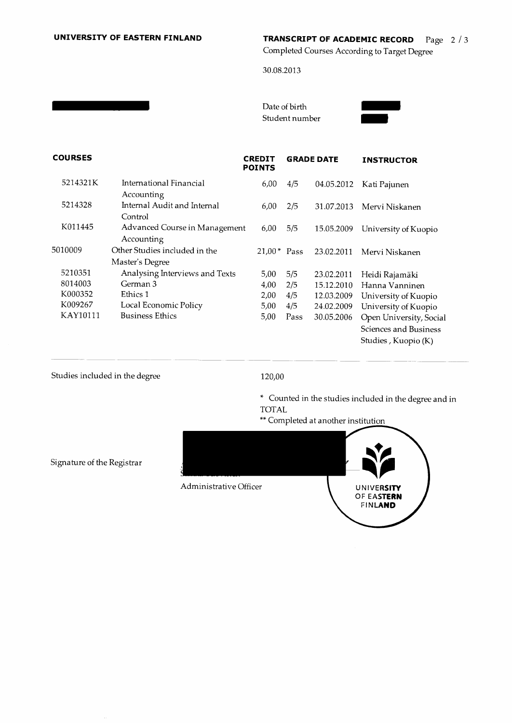# UNIVERSITY OF EASTERN FINLAND TRANSCRIPT OF ACADEMIC RECORD  $\frac{Page}{2}/3$

Completed Courses According to Target Degree

30.08.2013

Date of birth Student number



| <b>COURSES</b> |                                                  | <b>CREDIT</b><br><b>POINTS</b> |      | <b>GRADE DATE</b> | <b>INSTRUCTOR</b>                                                       |
|----------------|--------------------------------------------------|--------------------------------|------|-------------------|-------------------------------------------------------------------------|
| 5214321K       | International Financial<br>Accounting            | 6,00                           | 4/5  | 04.05.2012        | Kati Pajunen                                                            |
| 5214328        | Internal Audit and Internal<br>Control           | 6,00                           | 2/5  | 31.07.2013        | Mervi Niskanen                                                          |
| K011445        | Advanced Course in Management<br>Accounting      | 6,00                           | 5/5  | 15.05.2009        | University of Kuopio                                                    |
| 5010009        | Other Studies included in the<br>Master's Degree | $21.00*$ Pass                  |      | 23.02.2011        | Mervi Niskanen                                                          |
| 5210351        | Analysing Interviews and Texts                   | 5,00                           | 5/5  | 23.02.2011        | Heidi Rajamäki                                                          |
| 8014003        | German 3                                         | 4,00                           | 2/5  | 15.12.2010        | Hanna Vanninen                                                          |
| K000352        | Ethics 1                                         | 2,00                           | 4/5  | 12.03.2009        | University of Kuopio                                                    |
| K009267        | Local Economic Policy                            | 5,00                           | 4/5  | 24.02.2009        | University of Kuopio                                                    |
| KAY10111       | <b>Business Ethics</b>                           | 5,00                           | Pass | 30.05.2006        | Open University, Social<br>Sciences and Business<br>Studies, Kuopio (K) |

# Studies included in the degree

# 120,00

\* Counted in the studies included in the degree and in TOTAL



Signature of the Registrar